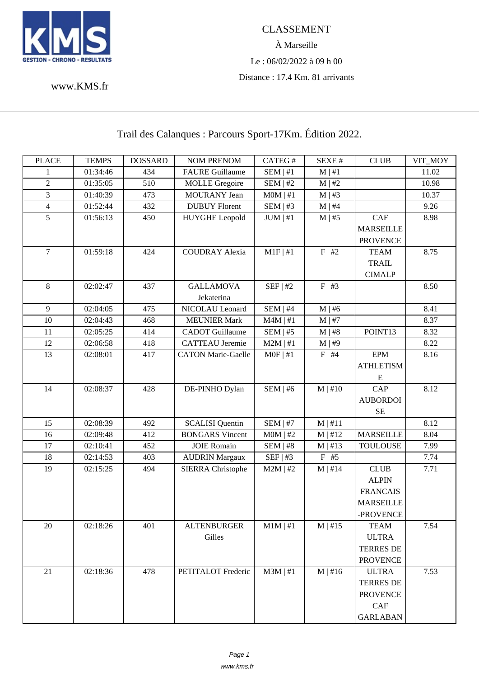

À Marseille Le : 06/02/2022 à 09 h 00 Distance : 17.4 Km. 81 arrivants

www.KMS.fr

Trail des Calanques : Parcours Sport-17Km. Édition 2022.

| <b>PLACE</b>   | <b>TEMPS</b> | <b>DOSSARD</b> | <b>NOM PRENOM</b>         | CATEG#        | SEXE#        | <b>CLUB</b>      | VIT_MOY |
|----------------|--------------|----------------|---------------------------|---------------|--------------|------------------|---------|
| 1              | 01:34:46     | 434            | <b>FAURE Guillaume</b>    | SEM   #1      | $M \mid #1$  |                  | 11.02   |
| $\sqrt{2}$     | 01:35:05     | 510            | <b>MOLLE</b> Gregoire     | $SEM$   #2    | $M \mid #2$  |                  | 10.98   |
| 3              | 01:40:39     | 473            | <b>MOURANY</b> Jean       | $MOM$   #1    | $M \mid #3$  |                  | 10.37   |
| $\overline{4}$ | 01:52:44     | 432            | <b>DUBUY</b> Florent      | SEM   #3      | $M \mid #4$  |                  | 9.26    |
| 5              | 01:56:13     | 450            | <b>HUYGHE Leopold</b>     | JUM   #1      | $M \mid #5$  | CAF              | 8.98    |
|                |              |                |                           |               |              | <b>MARSEILLE</b> |         |
|                |              |                |                           |               |              | <b>PROVENCE</b>  |         |
| $\overline{7}$ | 01:59:18     | 424            | <b>COUDRAY Alexia</b>     | $M1F$   #1    | F   #2       | <b>TEAM</b>      | 8.75    |
|                |              |                |                           |               |              | <b>TRAIL</b>     |         |
|                |              |                |                           |               |              | <b>CIMALP</b>    |         |
| 8              | 02:02:47     | 437            | <b>GALLAMOVA</b>          | SEF   #2      | F   #3       |                  | 8.50    |
|                |              |                | Jekaterina                |               |              |                  |         |
| 9              | 02:04:05     | 475            | NICOLAU Leonard           | SEM   #4      | $M \mid #6$  |                  | 8.41    |
| 10             | 02:04:43     | 468            | <b>MEUNIER Mark</b>       | $M4M \mid #1$ | $M \mid #7$  |                  | 8.37    |
| 11             | 02:05:25     | 414            | <b>CADOT</b> Guillaume    | $SEM$   #5    | $M$   #8     | POINT13          | 8.32    |
| 12             | 02:06:58     | 418            | <b>CATTEAU</b> Jeremie    | $M2M$   #1    | M   #9       |                  | 8.22    |
| 13             | 02:08:01     | 417            | <b>CATON Marie-Gaelle</b> | $MOF \mid #1$ | $F \mid #4$  | <b>EPM</b>       | 8.16    |
|                |              |                |                           |               |              | <b>ATHLETISM</b> |         |
|                |              |                |                           |               |              | E                |         |
| 14             | 02:08:37     | 428            | DE-PINHO Dylan            | SEM   #6      | $M \mid #10$ | CAP              | 8.12    |
|                |              |                |                           |               |              | <b>AUBORDOI</b>  |         |
|                |              |                |                           |               |              | <b>SE</b>        |         |
| 15             | 02:08:39     | 492            | <b>SCALISI</b> Quentin    | $SEM$   #7    | M   #11      |                  | 8.12    |
| 16             | 02:09:48     | 412            | <b>BONGARS Vincent</b>    | $MOM$   #2    | $M \mid #12$ | <b>MARSEILLE</b> | 8.04    |
| 17             | 02:10:41     | 452            | <b>JOIE Romain</b>        | SEM   #8      | $M$   #13    | <b>TOULOUSE</b>  | 7.99    |
| 18             | 02:14:53     | 403            | <b>AUDRIN Margaux</b>     | SEF   #3      | F   #5       |                  | 7.74    |
| 19             | 02:15:25     | 494            | <b>SIERRA Christophe</b>  | $M2M$   #2    | $M \mid #14$ | <b>CLUB</b>      | 7.71    |
|                |              |                |                           |               |              | <b>ALPIN</b>     |         |
|                |              |                |                           |               |              | <b>FRANCAIS</b>  |         |
|                |              |                |                           |               |              | <b>MARSEILLE</b> |         |
|                |              |                |                           |               |              | -PROVENCE        |         |
| 20             | 02:18:26     | 401            | <b>ALTENBURGER</b>        | $M1M \mid #1$ | $M \mid #15$ | <b>TEAM</b>      | 7.54    |
|                |              |                | Gilles                    |               |              | <b>ULTRA</b>     |         |
|                |              |                |                           |               |              | <b>TERRES DE</b> |         |
|                |              |                |                           |               |              | <b>PROVENCE</b>  |         |
| 21             | 02:18:36     | 478            | PETITALOT Frederic        | $M3M$   #1    | $M \mid #16$ | <b>ULTRA</b>     | 7.53    |
|                |              |                |                           |               |              | <b>TERRES DE</b> |         |
|                |              |                |                           |               |              | <b>PROVENCE</b>  |         |
|                |              |                |                           |               |              | CAF              |         |
|                |              |                |                           |               |              | <b>GARLABAN</b>  |         |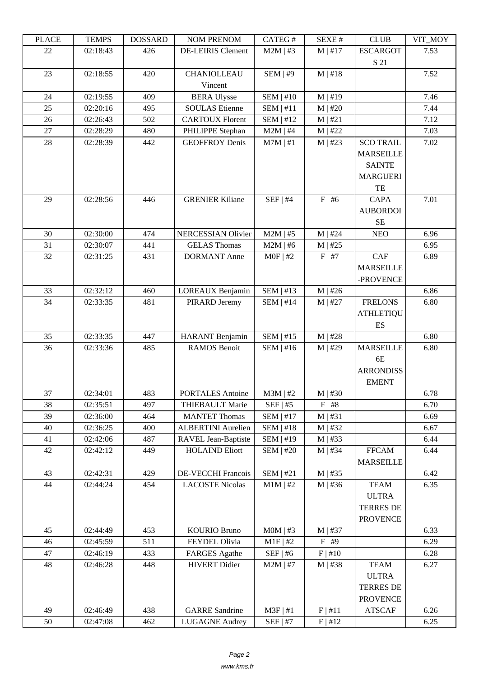| LEACE  | <u>רי דומדיד ד</u> | <b>UUUUUUU</b> | NUM TNENUM                | CATLO T          | ד בר⁄זבט     | CLUD             | VII_MUI |
|--------|--------------------|----------------|---------------------------|------------------|--------------|------------------|---------|
| 22     | 02:18:43           | 426            | <b>DE-LEIRIS Clement</b>  | $M2M$   #3       | $M$   #17    | <b>ESCARGOT</b>  | 7.53    |
|        |                    |                |                           |                  |              | S 21             |         |
| 23     | 02:18:55           | 420            | <b>CHANIOLLEAU</b>        | SEM   #9         | $M \mid #18$ |                  | 7.52    |
|        |                    |                | Vincent                   |                  |              |                  |         |
| 24     | 02:19:55           | 409            | <b>BERA Ulysse</b>        | $SEM$   #10      | $M \mid #19$ |                  | 7.46    |
| 25     | 02:20:16           | 495            | <b>SOULAS</b> Etienne     | SEM   #11        | $M$   #20    |                  | 7.44    |
| 26     | 02:26:43           | 502            | <b>CARTOUX Florent</b>    | <b>SEM   #12</b> | M   #21      |                  | 7.12    |
| 27     | 02:28:29           | 480            | PHILIPPE Stephan          | $M2M$   #4       | $M$   #22    |                  | 7.03    |
| $28\,$ | 02:28:39           | 442            | <b>GEOFFROY Denis</b>     | $M7M$   #1       | $M$   #23    | <b>SCO TRAIL</b> | 7.02    |
|        |                    |                |                           |                  |              | <b>MARSEILLE</b> |         |
|        |                    |                |                           |                  |              | <b>SAINTE</b>    |         |
|        |                    |                |                           |                  |              | <b>MARGUERI</b>  |         |
|        |                    |                |                           |                  |              | TE               |         |
| 29     | 02:28:56           | 446            | <b>GRENIER Kiliane</b>    | $SEF$   #4       | $F \mid #6$  | <b>CAPA</b>      | 7.01    |
|        |                    |                |                           |                  |              | <b>AUBORDOI</b>  |         |
|        |                    |                |                           |                  |              | <b>SE</b>        |         |
| 30     | 02:30:00           | 474            | <b>NERCESSIAN Olivier</b> | $M2M$   #5       | $M$   #24    | <b>NEO</b>       | 6.96    |
| 31     | 02:30:07           | 441            | <b>GELAS Thomas</b>       | $M2M$   #6       | $M$   #25    |                  | 6.95    |
| 32     | 02:31:25           | 431            | <b>DORMANT</b> Anne       | $MOF$   #2       | F   #7       | CAF              | 6.89    |
|        |                    |                |                           |                  |              | <b>MARSEILLE</b> |         |
|        |                    |                |                           |                  |              | -PROVENCE        |         |
| 33     | 02:32:12           | 460            | LOREAUX Benjamin          | $SEM$   #13      | $M$   #26    |                  | 6.86    |
| 34     | 02:33:35           | 481            | PIRARD Jeremy             | $SEM$   #14      | $M$   #27    | <b>FRELONS</b>   | 6.80    |
|        |                    |                |                           |                  |              | <b>ATHLETIQU</b> |         |
|        |                    |                |                           |                  |              | ES               |         |
| 35     | 02:33:35           | 447            | HARANT Benjamin           | SEM   #15        | M   #28      |                  | 6.80    |
| 36     | 02:33:36           | 485            | <b>RAMOS</b> Benoit       | $SEM$   #16      | $M \mid #29$ | <b>MARSEILLE</b> | 6.80    |
|        |                    |                |                           |                  |              | 6E               |         |
|        |                    |                |                           |                  |              | <b>ARRONDISS</b> |         |
|        |                    |                |                           |                  |              | <b>EMENT</b>     |         |
| 37     | 02:34:01           | 483            | <b>PORTALES</b> Antoine   | $M3M$   #2       | $M$   #30    |                  | 6.78    |
| 38     | 02:35:51           | 497            | THIEBAULT Marie           | $SEF$   #5       | F   #8       |                  | 6.70    |
| 39     | 02:36:00           | 464            | <b>MANTET Thomas</b>      | $SEM$   #17      | $M$   #31    |                  | 6.69    |
| 40     | 02:36:25           | 400            | <b>ALBERTINI</b> Aurelien | $SEM$   #18      | $M$   #32    |                  | 6.67    |
| 41     | 02:42:06           | 487            | RAVEL Jean-Baptiste       | <b>SEM   #19</b> | $M \mid #33$ |                  | 6.44    |
| 42     | 02:42:12           | 449            | <b>HOLAIND Eliott</b>     | $SEM$   #20      | $M \mid #34$ | <b>FFCAM</b>     | 6.44    |
| 43     |                    | 429            | DE-VECCHI Francois        | SEM   #21        |              | <b>MARSEILLE</b> | 6.42    |
| 44     | 02:42:31           | 454            | <b>LACOSTE Nicolas</b>    | $M1M$   #2       | $M$   #35    | <b>TEAM</b>      |         |
|        | 02:44:24           |                |                           |                  | $M \mid #36$ | <b>ULTRA</b>     | 6.35    |
|        |                    |                |                           |                  |              | <b>TERRES DE</b> |         |
|        |                    |                |                           |                  |              | <b>PROVENCE</b>  |         |
| 45     | 02:44:49           | 453            | <b>KOURIO Bruno</b>       | $MOM$   #3       | $M$   #37    |                  | 6.33    |
| 46     | 02:45:59           | 511            | FEYDEL Olivia             | $M1F$   #2       | F   #9       |                  | 6.29    |
| 47     | 02:46:19           | 433            | <b>FARGES</b> Agathe      | $SEF$   #6       | F   #10      |                  | 6.28    |
| 48     | 02:46:28           | 448            | <b>HIVERT</b> Didier      | $M2M$   #7       | $M \mid #38$ | <b>TEAM</b>      | 6.27    |
|        |                    |                |                           |                  |              | <b>ULTRA</b>     |         |
|        |                    |                |                           |                  |              | <b>TERRES DE</b> |         |
|        |                    |                |                           |                  |              | <b>PROVENCE</b>  |         |
| 49     | 02:46:49           | 438            | <b>GARRE Sandrine</b>     | $M3F$   #1       | F   #11      | <b>ATSCAF</b>    | 6.26    |
| 50     | 02:47:08           | 462            | <b>LUGAGNE Audrey</b>     | $SEF$   #7       | F   #12      |                  | 6.25    |
|        |                    |                |                           |                  |              |                  |         |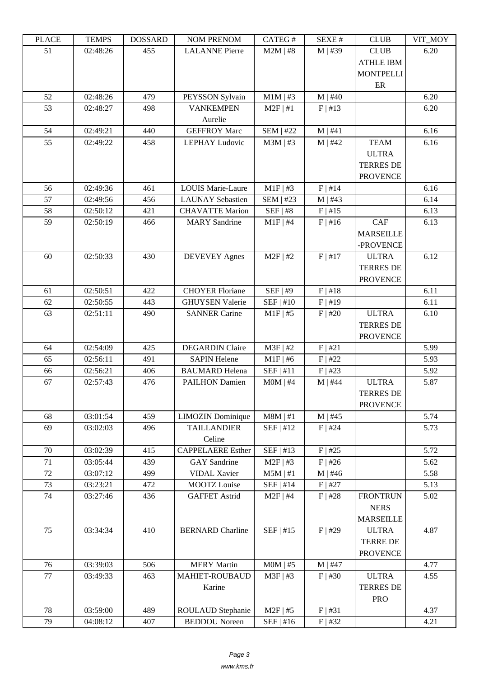| שמעו | L LIVIL D | <b>DOPPULP</b> | <b>TAOIM I IVETAOIM</b>  | $CALU \pi$       | л سد         | <b>CLUD</b>                     | $V11$ $V1$ |
|------|-----------|----------------|--------------------------|------------------|--------------|---------------------------------|------------|
| 51   | 02:48:26  | 455            | <b>LALANNE</b> Pierre    | $M2M$   #8       | $M$   #39    | <b>CLUB</b><br><b>ATHLE IBM</b> | 6.20       |
|      |           |                |                          |                  |              | <b>MONTPELLI</b><br>ER          |            |
| 52   | 02:48:26  | 479            | PEYSSON Sylvain          | $M1M$   #3       | $M$   #40    |                                 | 6.20       |
| 53   | 02:48:27  | 498            | <b>VANKEMPEN</b>         | $M2F$   #1       | F   #13      |                                 | 6.20       |
|      |           |                | Aurelie                  |                  |              |                                 |            |
| 54   | 02:49:21  | 440            | <b>GEFFROY Marc</b>      | <b>SEM   #22</b> | M   #41      |                                 | 6.16       |
| 55   | 02:49:22  | 458            | LEPHAY Ludovic           | $M3M$   #3       | $M$   #42    | <b>TEAM</b>                     | 6.16       |
|      |           |                |                          |                  |              | <b>ULTRA</b>                    |            |
|      |           |                |                          |                  |              | <b>TERRES DE</b>                |            |
|      |           |                |                          |                  |              | <b>PROVENCE</b>                 |            |
| 56   | 02:49:36  | 461            | <b>LOUIS Marie-Laure</b> | $M1F$   #3       | $F$   #14    |                                 | 6.16       |
| 57   | 02:49:56  | 456            | <b>LAUNAY</b> Sebastien  | <b>SEM   #23</b> | $M$   #43    |                                 | 6.14       |
| 58   | 02:50:12  | 421            | <b>CHAVATTE Marion</b>   | SEF   #8         | F   #15      |                                 | 6.13       |
| 59   | 02:50:19  | 466            | <b>MARY</b> Sandrine     | $M1F$   #4       | $F$   #16    | CAF                             | 6.13       |
|      |           |                |                          |                  |              | <b>MARSEILLE</b>                |            |
|      |           |                |                          |                  |              | -PROVENCE                       |            |
| 60   | 02:50:33  | 430            | <b>DEVEVEY Agnes</b>     | $M2F$   #2       | F   #17      | <b>ULTRA</b>                    | 6.12       |
|      |           |                |                          |                  |              | <b>TERRES DE</b>                |            |
|      |           |                |                          |                  |              | <b>PROVENCE</b>                 |            |
| 61   | 02:50:51  | 422            | <b>CHOYER Floriane</b>   | SEF   #9         | F   #18      |                                 | 6.11       |
| 62   | 02:50:55  | 443            | <b>GHUYSEN Valerie</b>   | SEF   #10        | F   #19      |                                 | 6.11       |
| 63   | 02:51:11  | 490            | <b>SANNER Carine</b>     | $M1F$ #5         | $F$   #20    | <b>ULTRA</b>                    | 6.10       |
|      |           |                |                          |                  |              | <b>TERRES DE</b>                |            |
|      |           |                |                          |                  |              | <b>PROVENCE</b>                 |            |
| 64   | 02:54:09  | 425            | <b>DEGARDIN Claire</b>   | $M3F$   #2       | F   #21      |                                 | 5.99       |
| 65   | 02:56:11  | 491            | <b>SAPIN Helene</b>      | $M1F$   #6       | $F$   #22    |                                 | 5.93       |
| 66   | 02:56:21  | 406            | <b>BAUMARD</b> Helena    | SEF   #11        | $F$   #23    |                                 | 5.92       |
| 67   | 02:57:43  | 476            | <b>PAILHON Damien</b>    | $MOM$   #4       | $M$   #44    | <b>ULTRA</b>                    | 5.87       |
|      |           |                |                          |                  |              | <b>TERRES DE</b>                |            |
|      |           |                |                          |                  |              | <b>PROVENCE</b>                 |            |
| 68   | 03:01:54  | 459            | <b>LIMOZIN</b> Dominique | $M8M$   #1       | $M$   #45    |                                 | 5.74       |
| 69   | 03:02:03  | 496            | <b>TAILLANDIER</b>       | SEF   #12        | $F$   #24    |                                 | 5.73       |
|      |           |                | Celine                   |                  |              |                                 |            |
| 70   | 03:02:39  | 415            | <b>CAPPELAERE</b> Esther | SEF   #13        | $F$   #25    |                                 | 5.72       |
| 71   | 03:05:44  | 439            | <b>GAY</b> Sandrine      | $M2F$   #3       | $F$   #26    |                                 | 5.62       |
| 72   | 03:07:12  | 499            | <b>VIDAL Xavier</b>      | $M5M$   #1       | $M \mid #46$ |                                 | 5.58       |
| 73   | 03:23:21  | 472            | MOOTZ Louise             | SEF   #14        | $F$   #27    |                                 | 5.13       |
| 74   | 03:27:46  | 436            | <b>GAFFET Astrid</b>     | $M2F$   #4       | $F$   #28    | <b>FRONTRUN</b>                 | 5.02       |
|      |           |                |                          |                  |              | <b>NERS</b>                     |            |
|      |           |                |                          |                  |              | <b>MARSEILLE</b>                |            |
| 75   | 03:34:34  | 410            | <b>BERNARD</b> Charline  | SEF   #15        | $F$   #29    | <b>ULTRA</b>                    | 4.87       |
|      |           |                |                          |                  |              | <b>TERRE DE</b>                 |            |
|      |           |                |                          |                  |              | <b>PROVENCE</b>                 |            |
| 76   | 03:39:03  | 506            | <b>MERY Martin</b>       | $MOM$   #5       | $M$   #47    |                                 | 4.77       |
| 77   | 03:49:33  | 463            | <b>MAHIET-ROUBAUD</b>    | M3F   #3         | $F$   #30    | <b>ULTRA</b>                    | 4.55       |
|      |           |                | Karine                   |                  |              | <b>TERRES DE</b>                |            |
|      |           |                |                          |                  |              | <b>PRO</b>                      |            |
| 78   | 03:59:00  | 489            | ROULAUD Stephanie        | $M2F$   #5       | F   #31      |                                 | 4.37       |
| 79   | 04:08:12  | 407            | <b>BEDDOU</b> Noreen     | $SEF$   #16      | $F$   #32    |                                 | 4.21       |